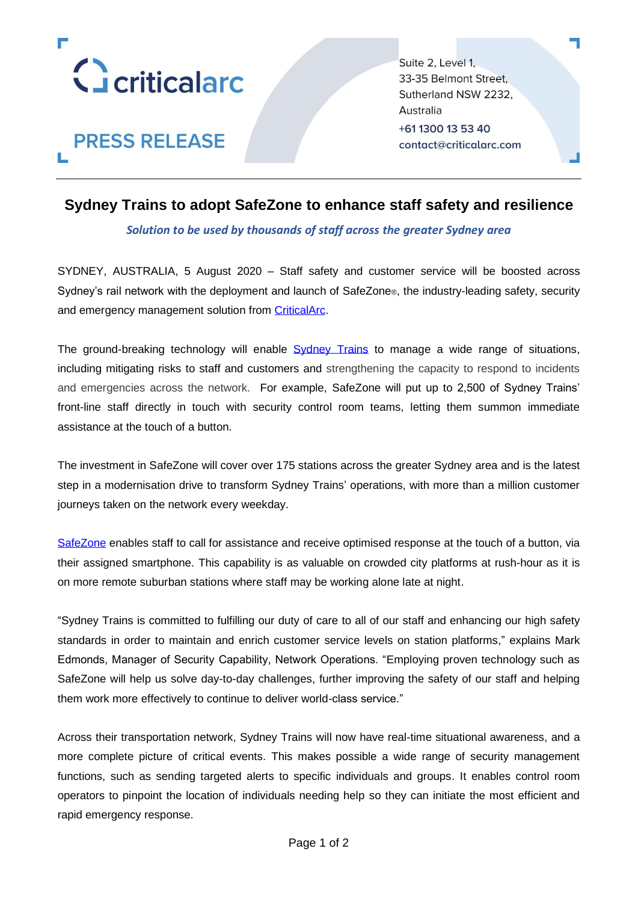

**PRESS RELEASE** 

Suite 2, Level 1, 33-35 Belmont Street. Sutherland NSW 2232. Australia +61 1300 13 53 40 contact@criticalarc.com

## **Sydney Trains to adopt SafeZone to enhance staff safety and resilience**

### *Solution to be used by thousands of staff across the greater Sydney area*

SYDNEY, AUSTRALIA, 5 August 2020 – Staff safety and customer service will be boosted across Sydney's rail network with the deployment and launch of SafeZone®, the industry-leading safety, security and emergency management solution from [CriticalArc.](http://www.criticalarc.com/)

The ground-breaking technology will enable **[Sydney Trains](https://www.transport.nsw.gov.au/sydneytrains/about-sydney-trains)** to manage a wide range of situations, including mitigating risks to staff and customers and strengthening the capacity to respond to incidents and emergencies across the network. For example, SafeZone will put up to 2,500 of Sydney Trains' front-line staff directly in touch with security control room teams, letting them summon immediate assistance at the touch of a button.

The investment in SafeZone will cover over 175 stations across the greater Sydney area and is the latest step in a modernisation drive to transform Sydney Trains' operations, with more than a million customer journeys taken on the network every weekday.

[SafeZone](https://www.criticalarc.com/safezone-solution/) enables staff to call for assistance and receive optimised response at the touch of a button, via their assigned smartphone. This capability is as valuable on crowded city platforms at rush-hour as it is on more remote suburban stations where staff may be working alone late at night.

"Sydney Trains is committed to fulfilling our duty of care to all of our staff and enhancing our high safety standards in order to maintain and enrich customer service levels on station platforms," explains Mark Edmonds, Manager of Security Capability, Network Operations. "Employing proven technology such as SafeZone will help us solve day-to-day challenges, further improving the safety of our staff and helping them work more effectively to continue to deliver world-class service."

Across their transportation network, Sydney Trains will now have real-time situational awareness, and a more complete picture of critical events. This makes possible a wide range of security management functions, such as sending targeted alerts to specific individuals and groups. It enables control room operators to pinpoint the location of individuals needing help so they can initiate the most efficient and rapid emergency response.